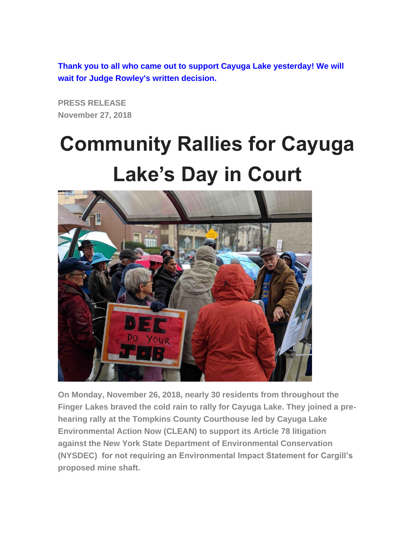**Thank you to all who came out to support Cayuga Lake yesterday! We will wait for Judge Rowley's written decision.**

**PRESS RELEASE November 27, 2018**

## **Community Rallies for Cayuga Lake's Day in Court**



**On Monday, November 26, 2018, nearly 30 residents from throughout the Finger Lakes braved the cold rain to rally for Cayuga Lake. They joined a prehearing rally at the Tompkins County Courthouse led by Cayuga Lake Environmental Action Now (CLEAN) to support its Article 78 litigation against the New York State Department of Environmental Conservation (NYSDEC) for not requiring an Environmental Impact Statement for Cargill's proposed mine shaft.**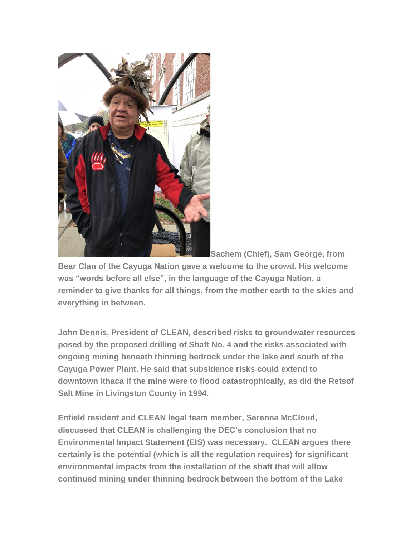

**Sachem (Chief), Sam George, from** 

**Bear Clan of the Cayuga Nation gave a welcome to the crowd. His welcome was "words before all else", in the language of the Cayuga Nation, a reminder to give thanks for all things, from the mother earth to the skies and everything in between.**

**John Dennis, President of CLEAN, described risks to groundwater resources posed by the proposed drilling of Shaft No. 4 and the risks associated with ongoing mining beneath thinning bedrock under the lake and south of the Cayuga Power Plant. He said that subsidence risks could extend to downtown Ithaca if the mine were to flood catastrophically, as did the Retsof Salt Mine in Livingston County in 1994.**

**Enfield resident and CLEAN legal team member, Serenna McCloud, discussed that CLEAN is challenging the DEC's conclusion that no Environmental Impact Statement (EIS) was necessary. CLEAN argues there certainly is the potential (which is all the regulation requires) for significant environmental impacts from the installation of the shaft that will allow continued mining under thinning bedrock between the bottom of the Lake**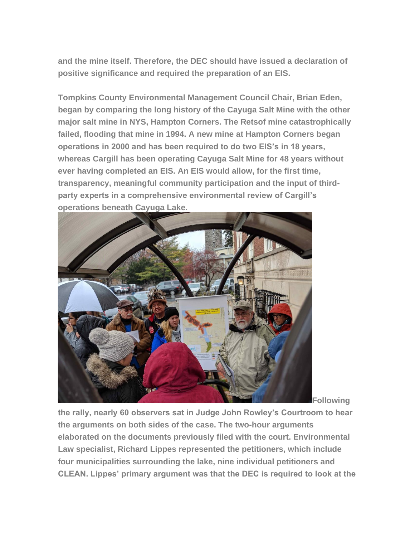**and the mine itself. Therefore, the DEC should have issued a declaration of positive significance and required the preparation of an EIS.**

**Tompkins County Environmental Management Council Chair, Brian Eden, began by comparing the long history of the Cayuga Salt Mine with the other major salt mine in NYS, Hampton Corners. The Retsof mine catastrophically failed, flooding that mine in 1994. A new mine at Hampton Corners began operations in 2000 and has been required to do two EIS's in 18 years, whereas Cargill has been operating Cayuga Salt Mine for 48 years without ever having completed an EIS. An EIS would allow, for the first time, transparency, meaningful community participation and the input of thirdparty experts in a comprehensive environmental review of Cargill's operations beneath Cayuga Lake.**



**Following** 

**the rally, nearly 60 observers sat in Judge John Rowley's Courtroom to hear the arguments on both sides of the case. The two-hour arguments elaborated on the documents previously filed with the court. Environmental Law specialist, Richard Lippes represented the petitioners, which include four municipalities surrounding the lake, nine individual petitioners and CLEAN. Lippes' primary argument was that the DEC is required to look at the**